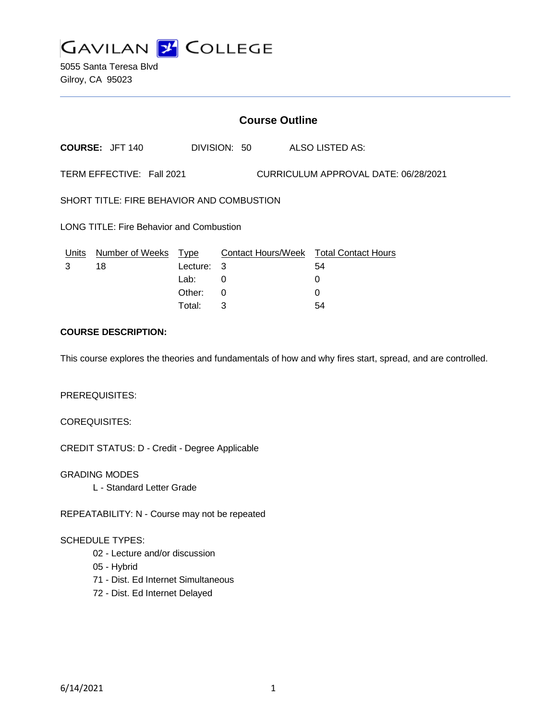

5055 Santa Teresa Blvd Gilroy, CA 95023

## **Course Outline**

**COURSE:** JFT 140 DIVISION: 50 ALSO LISTED AS:

TERM EFFECTIVE: Fall 2021 CURRICULUM APPROVAL DATE: 06/28/2021

SHORT TITLE: FIRE BEHAVIOR AND COMBUSTION

LONG TITLE: Fire Behavior and Combustion

| Units Number of Weeks Type |            | Contact Hours/Week Total Contact Hours |    |
|----------------------------|------------|----------------------------------------|----|
| 18                         | Lecture: 3 |                                        | 54 |
|                            | Lab:       |                                        |    |
|                            | Other: 0   |                                        |    |
|                            | Total:     |                                        | 54 |

### **COURSE DESCRIPTION:**

This course explores the theories and fundamentals of how and why fires start, spread, and are controlled.

#### PREREQUISITES:

COREQUISITES:

CREDIT STATUS: D - Credit - Degree Applicable

GRADING MODES L - Standard Letter Grade

REPEATABILITY: N - Course may not be repeated

### SCHEDULE TYPES:

- 02 Lecture and/or discussion
- 05 Hybrid
- 71 Dist. Ed Internet Simultaneous
- 72 Dist. Ed Internet Delayed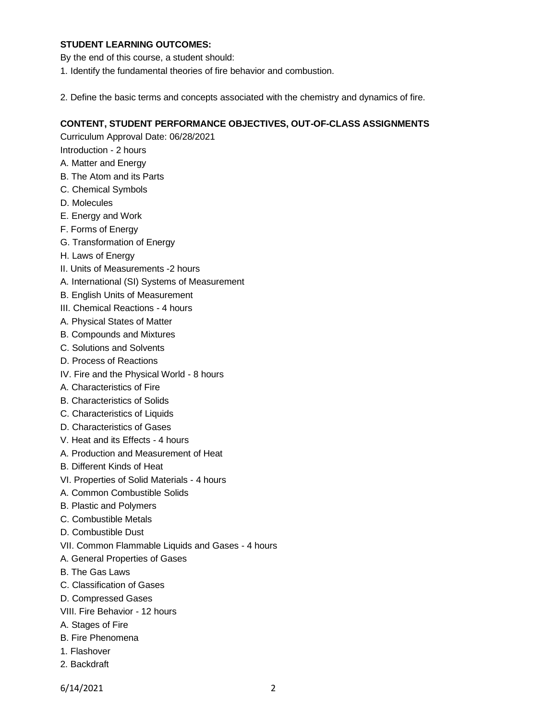### **STUDENT LEARNING OUTCOMES:**

By the end of this course, a student should:

- 1. Identify the fundamental theories of fire behavior and combustion.
- 2. Define the basic terms and concepts associated with the chemistry and dynamics of fire.

### **CONTENT, STUDENT PERFORMANCE OBJECTIVES, OUT-OF-CLASS ASSIGNMENTS**

Curriculum Approval Date: 06/28/2021

- Introduction 2 hours
- A. Matter and Energy
- B. The Atom and its Parts
- C. Chemical Symbols
- D. Molecules
- E. Energy and Work
- F. Forms of Energy
- G. Transformation of Energy
- H. Laws of Energy
- II. Units of Measurements -2 hours
- A. International (SI) Systems of Measurement
- B. English Units of Measurement
- III. Chemical Reactions 4 hours
- A. Physical States of Matter
- B. Compounds and Mixtures
- C. Solutions and Solvents
- D. Process of Reactions
- IV. Fire and the Physical World 8 hours
- A. Characteristics of Fire
- B. Characteristics of Solids
- C. Characteristics of Liquids
- D. Characteristics of Gases
- V. Heat and its Effects 4 hours
- A. Production and Measurement of Heat
- B. Different Kinds of Heat
- VI. Properties of Solid Materials 4 hours
- A. Common Combustible Solids
- B. Plastic and Polymers
- C. Combustible Metals
- D. Combustible Dust
- VII. Common Flammable Liquids and Gases 4 hours
- A. General Properties of Gases
- B. The Gas Laws
- C. Classification of Gases
- D. Compressed Gases
- VIII. Fire Behavior 12 hours
- A. Stages of Fire
- B. Fire Phenomena
- 1. Flashover
- 2. Backdraft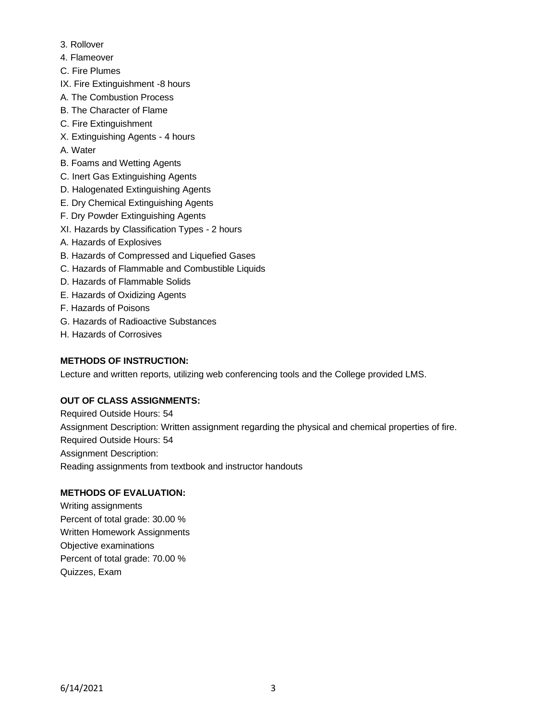- 3. Rollover
- 4. Flameover
- C. Fire Plumes
- IX. Fire Extinguishment -8 hours
- A. The Combustion Process
- B. The Character of Flame
- C. Fire Extinguishment
- X. Extinguishing Agents 4 hours
- A. Water
- B. Foams and Wetting Agents
- C. Inert Gas Extinguishing Agents
- D. Halogenated Extinguishing Agents
- E. Dry Chemical Extinguishing Agents
- F. Dry Powder Extinguishing Agents
- XI. Hazards by Classification Types 2 hours
- A. Hazards of Explosives
- B. Hazards of Compressed and Liquefied Gases
- C. Hazards of Flammable and Combustible Liquids
- D. Hazards of Flammable Solids
- E. Hazards of Oxidizing Agents
- F. Hazards of Poisons
- G. Hazards of Radioactive Substances
- H. Hazards of Corrosives

## **METHODS OF INSTRUCTION:**

Lecture and written reports, utilizing web conferencing tools and the College provided LMS.

# **OUT OF CLASS ASSIGNMENTS:**

Required Outside Hours: 54 Assignment Description: Written assignment regarding the physical and chemical properties of fire. Required Outside Hours: 54 Assignment Description: Reading assignments from textbook and instructor handouts

# **METHODS OF EVALUATION:**

Writing assignments Percent of total grade: 30.00 % Written Homework Assignments Objective examinations Percent of total grade: 70.00 % Quizzes, Exam